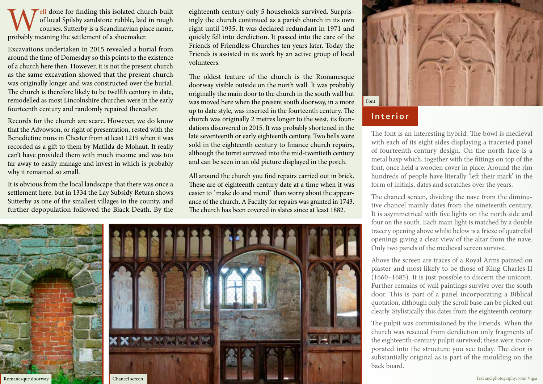Well done for finding this isolated church built<br>of local Spilsby sandstone rubble, laid in rough<br>courses. Sutterby is a Scandinavian place name,<br>probably meaning the settlement of a shoemaker. of local Spilsby sandstone rubble, laid in rough courses. Sutterby is a Scandinavian place name, probably meaning the settlement of a shoemaker.

Excavations undertaken in 2015 revealed a burial from around the time of Domesday so this points to the existence of a church here then. However, it is not the present church as the same excavation showed that the present church was originally longer and was constructed over the burial. The church is therefore likely to be twelfth century in date, remodelled as most Lincolnshire churches were in the early fourteenth century and randomly repaired thereafter.

Records for the church are scare. However, we do know that the Advowson, or right of presentation, rested with the Benedictine nuns in Chester from at least 1219 when it was recorded as a gift to them by Matilda de Mohaut. It really can't have provided them with much income and was too far away to easily manage and invest in which is probably why it remained so small.

It is obvious from the local landscape that there was once a settlement here, but in 1334 the Lay Subsidy Return shows Sutterby as one of the smallest villages in the county, and further depopulation followed the Black Death. By the eighteenth century only 5 households survived. Surprisingly the church continued as a parish church in its own right until 1935. It was declared redundant in 1971 and quickly fell into dereliction. It passed into the care of the Friends of Friendless Churches ten years later. Today the Friends is assisted in its work by an active group of local volunteers.

The oldest feature of the church is the Romanesque doorway visible outside on the north wall. It was probably originally the main door to the church in the south wall but was moved here when the present south doorway, in a more up to date style, was inserted in the fourteenth century. The church was originally 2 metres longer to the west, its foundations discovered in 2015. It was probably shortened in the late seventeenth or early eighteenth century. Two bells were sold in the eighteenth century to finance church repairs, although the turret survived into the mid-twentieth century and can be seen in an old picture displayed in the porch.

All around the church you find repairs carried out in brick. These are of eighteenth century date at a time when it was easier to `make do and mend` than worry about the appearance of the church. A Faculty for repairs was granted in 1743. The church has been covered in slates since at least 1882.





# **Interior**

The font is an interesting hybrid. The bowl is medieval with each of its eight sides displaying a traceried panel of fourteenth-century design. On the north face is a metal hasp which, together with the fittings on top of the font, once held a wooden cover in place. Around the rim hundreds of people have literally 'left their mark' in the form of initials, dates and scratches over the years.

The chancel screen, dividing the nave from the diminutive chancel mainly dates from the nineteenth century. It is asymmetrical with five lights on the north side and four on the south. Each main light is matched by a double tracery opening above whilst below is a frieze of quatrefoil openings giving a clear view of the altar from the nave. Only two panels of the medieval screen survive.

Above the screen are traces of a Royal Arms painted on plaster and most likely to be those of King Charles II (1660–1685). It is just possible to discern the unicorn. Further remains of wall paintings survive over the south door. This is part of a panel incorporating a Biblical quotation, although only the scroll base can be picked out clearly. Stylistically this dates from the eighteenth century.

The pulpit was commissioned by the Friends. When the church was rescued from dereliction only fragments of the eighteenth-century pulpit survived; these were incorporated into the structure you see today. The door is substantially original as is part of the moulding on the back board.